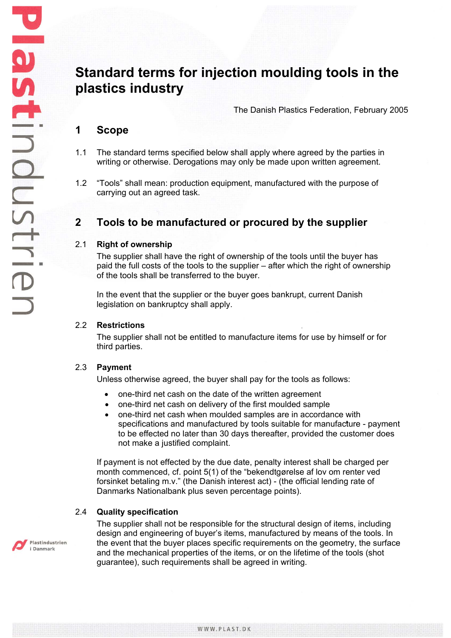# **Standard terms for injection moulding tools in the plastics industry**

The Danish Plastics Federation, February 2005

## **1 Scope**

- 1.1 The standard terms specified below shall apply where agreed by the parties in writing or otherwise. Derogations may only be made upon written agreement.
- 1.2 "Tools" shall mean: production equipment, manufactured with the purpose of carrying out an agreed task.

## **2 Tools to be manufactured or procured by the supplier**

#### 2.1 **Right of ownership**

The supplier shall have the right of ownership of the tools until the buyer has paid the full costs of the tools to the supplier – after which the right of ownership of the tools shall be transferred to the buyer.

In the event that the supplier or the buyer goes bankrupt, current Danish legislation on bankruptcy shall apply.

#### 2.2 **Restrictions**

The supplier shall not be entitled to manufacture items for use by himself or for third parties.

#### 2.3 **Payment**

Unless otherwise agreed, the buyer shall pay for the tools as follows:

- one-third net cash on the date of the written agreement
- one-third net cash on delivery of the first moulded sample
- one-third net cash when moulded samples are in accordance with specifications and manufactured by tools suitable for manufacture - payment to be effected no later than 30 days thereafter, provided the customer does not make a justified complaint.

If payment is not effected by the due date, penalty interest shall be charged per month commenced, cf. point 5(1) of the "bekendtgørelse af lov om renter ved forsinket betaling m.v." (the Danish interest act) - (the official lending rate of Danmarks Nationalbank plus seven percentage points).

### 2.4 **Quality specification**

The supplier shall not be responsible for the structural design of items, including design and engineering of buyer's items, manufactured by means of the tools. In the event that the buyer places specific requirements on the geometry, the surface and the mechanical properties of the items, or on the lifetime of the tools (shot guarantee), such requirements shall be agreed in writing.

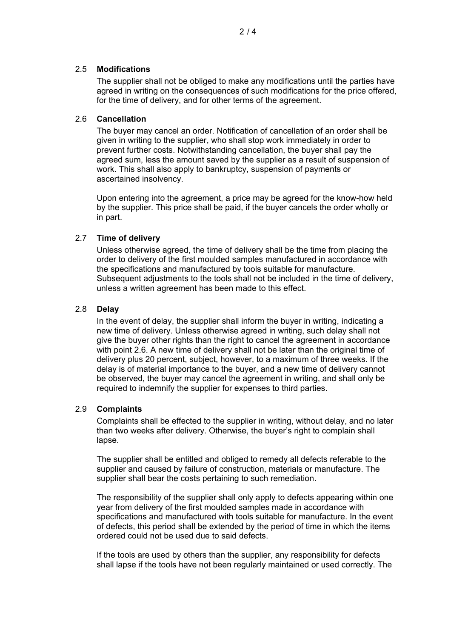The supplier shall not be obliged to make any modifications until the parties have agreed in writing on the consequences of such modifications for the price offered, for the time of delivery, and for other terms of the agreement.

## 2.6 **Cancellation**

The buyer may cancel an order. Notification of cancellation of an order shall be given in writing to the supplier, who shall stop work immediately in order to prevent further costs. Notwithstanding cancellation, the buyer shall pay the agreed sum, less the amount saved by the supplier as a result of suspension of work. This shall also apply to bankruptcy, suspension of payments or ascertained insolvency.

Upon entering into the agreement, a price may be agreed for the know-how held by the supplier. This price shall be paid, if the buyer cancels the order wholly or in part.

## 2.7 **Time of delivery**

Unless otherwise agreed, the time of delivery shall be the time from placing the order to delivery of the first moulded samples manufactured in accordance with the specifications and manufactured by tools suitable for manufacture. Subsequent adjustments to the tools shall not be included in the time of delivery, unless a written agreement has been made to this effect.

## 2.8 **Delay**

In the event of delay, the supplier shall inform the buyer in writing, indicating a new time of delivery. Unless otherwise agreed in writing, such delay shall not give the buyer other rights than the right to cancel the agreement in accordance with point 2.6. A new time of delivery shall not be later than the original time of delivery plus 20 percent, subject, however, to a maximum of three weeks. If the delay is of material importance to the buyer, and a new time of delivery cannot be observed, the buyer may cancel the agreement in writing, and shall only be required to indemnify the supplier for expenses to third parties.

## 2.9 **Complaints**

Complaints shall be effected to the supplier in writing, without delay, and no later than two weeks after delivery. Otherwise, the buyer's right to complain shall lapse.

The supplier shall be entitled and obliged to remedy all defects referable to the supplier and caused by failure of construction, materials or manufacture. The supplier shall bear the costs pertaining to such remediation.

The responsibility of the supplier shall only apply to defects appearing within one year from delivery of the first moulded samples made in accordance with specifications and manufactured with tools suitable for manufacture. In the event of defects, this period shall be extended by the period of time in which the items ordered could not be used due to said defects.

If the tools are used by others than the supplier, any responsibility for defects shall lapse if the tools have not been regularly maintained or used correctly. The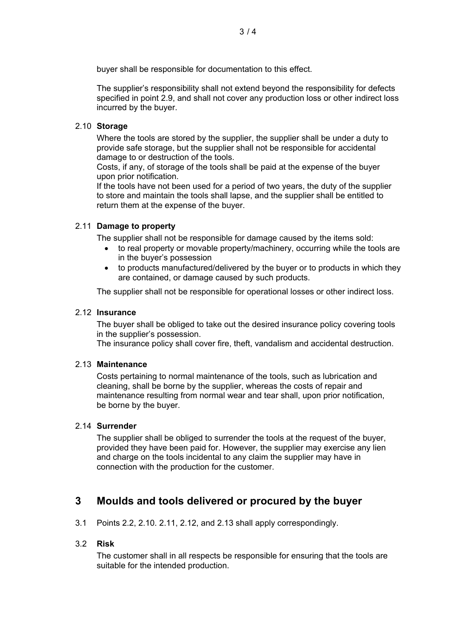buyer shall be responsible for documentation to this effect.

The supplier's responsibility shall not extend beyond the responsibility for defects specified in point 2.9, and shall not cover any production loss or other indirect loss incurred by the buyer.

#### 2.10 **Storage**

Where the tools are stored by the supplier, the supplier shall be under a duty to provide safe storage, but the supplier shall not be responsible for accidental damage to or destruction of the tools.

Costs, if any, of storage of the tools shall be paid at the expense of the buyer upon prior notification.

If the tools have not been used for a period of two years, the duty of the supplier to store and maintain the tools shall lapse, and the supplier shall be entitled to return them at the expense of the buyer.

### 2.11 **Damage to property**

The supplier shall not be responsible for damage caused by the items sold:

- to real property or movable property/machinery, occurring while the tools are in the buyer's possession
- to products manufactured/delivered by the buyer or to products in which they are contained, or damage caused by such products.

The supplier shall not be responsible for operational losses or other indirect loss.

## 2.12 **Insurance**

The buyer shall be obliged to take out the desired insurance policy covering tools in the supplier's possession.

The insurance policy shall cover fire, theft, vandalism and accidental destruction.

#### 2.13 **Maintenance**

Costs pertaining to normal maintenance of the tools, such as lubrication and cleaning, shall be borne by the supplier, whereas the costs of repair and maintenance resulting from normal wear and tear shall, upon prior notification, be borne by the buyer.

#### 2.14 **Surrender**

The supplier shall be obliged to surrender the tools at the request of the buyer, provided they have been paid for. However, the supplier may exercise any lien and charge on the tools incidental to any claim the supplier may have in connection with the production for the customer.

## **3 Moulds and tools delivered or procured by the buyer**

3.1 Points 2.2, 2.10. 2.11, 2.12, and 2.13 shall apply correspondingly.

## 3.2 **Risk**

The customer shall in all respects be responsible for ensuring that the tools are suitable for the intended production.